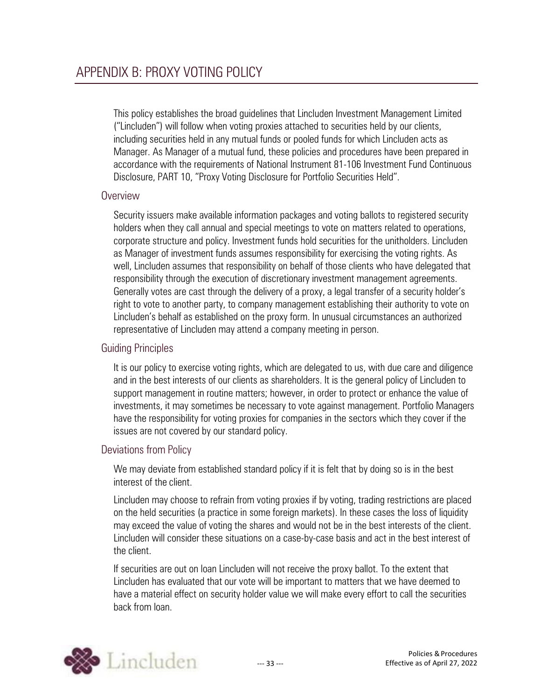This policy establishes the broad guidelines that Lincluden Investment Management Limited ("Lincluden") will follow when voting proxies attached to securities held by our clients, including securities held in any mutual funds or pooled funds for which Lincluden acts as Manager. As Manager of a mutual fund, these policies and procedures have been prepared in accordance with the requirements of National Instrument 81-106 Investment Fund Continuous Disclosure, PART 10, "Proxy Voting Disclosure for Portfolio Securities Held".

## **Overview**

Security issuers make available information packages and voting ballots to registered security holders when they call annual and special meetings to vote on matters related to operations, corporate structure and policy. Investment funds hold securities for the unitholders. Lincluden as Manager of investment funds assumes responsibility for exercising the voting rights. As well, Lincluden assumes that responsibility on behalf of those clients who have delegated that responsibility through the execution of discretionary investment management agreements. Generally votes are cast through the delivery of a proxy, a legal transfer of a security holder's right to vote to another party, to company management establishing their authority to vote on Lincluden's behalf as established on the proxy form. In unusual circumstances an authorized representative of Lincluden may attend a company meeting in person.

# Guiding Principles

It is our policy to exercise voting rights, which are delegated to us, with due care and diligence and in the best interests of our clients as shareholders. It is the general policy of Lincluden to support management in routine matters; however, in order to protect or enhance the value of investments, it may sometimes be necessary to vote against management. Portfolio Managers have the responsibility for voting proxies for companies in the sectors which they cover if the issues are not covered by our standard policy.

## Deviations from Policy

We may deviate from established standard policy if it is felt that by doing so is in the best interest of the client.

Lincluden may choose to refrain from voting proxies if by voting, trading restrictions are placed on the held securities (a practice in some foreign markets). In these cases the loss of liquidity may exceed the value of voting the shares and would not be in the best interests of the client. Lincluden will consider these situations on a case-by-case basis and act in the best interest of the client.

If securities are out on loan Lincluden will not receive the proxy ballot. To the extent that Lincluden has evaluated that our vote will be important to matters that we have deemed to have a material effect on security holder value we will make every effort to call the securities back from loan.

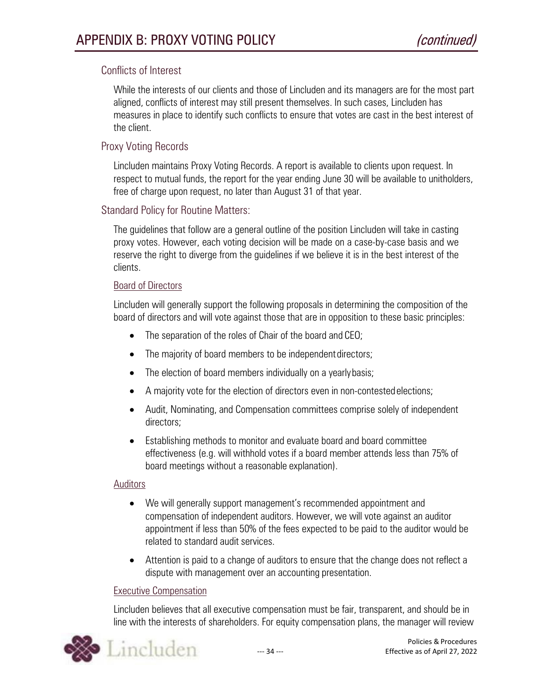## Conflicts of Interest

While the interests of our clients and those of Lincluden and its managers are for the most part aligned, conflicts of interest may still present themselves. In such cases, Lincluden has measures in place to identify such conflicts to ensure that votes are cast in the best interest of the client.

## Proxy Voting Records

Lincluden maintains Proxy Voting Records. A report is available to clients upon request. In respect to mutual funds, the report for the year ending June 30 will be available to unitholders, free of charge upon request, no later than August 31 of that year.

## Standard Policy for Routine Matters:

The guidelines that follow are a general outline of the position Lincluden will take in casting proxy votes. However, each voting decision will be made on a case-by-case basis and we reserve the right to diverge from the guidelines if we believe it is in the best interest of the clients.

### Board of Directors

Lincluden will generally support the following proposals in determining the composition of the board of directors and will vote against those that are in opposition to these basic principles:

- The separation of the roles of Chair of the board and CEO;
- The majority of board members to be independent directors;
- The election of board members individually on a yearly basis;
- A majority vote for the election of directors even in non-contestedelections;
- Audit, Nominating, and Compensation committees comprise solely of independent directors;
- Establishing methods to monitor and evaluate board and board committee effectiveness (e.g. will withhold votes if a board member attends less than 75% of board meetings without a reasonable explanation).

### **Auditors**

- We will generally support management's recommended appointment and compensation of independent auditors. However, we will vote against an auditor appointment if less than 50% of the fees expected to be paid to the auditor would be related to standard audit services.
- Attention is paid to a change of auditors to ensure that the change does not reflect a dispute with management over an accounting presentation.

### Executive Compensation

Lincluden believes that all executive compensation must be fair, transparent, and should be in line with the interests of shareholders. For equity compensation plans, the manager will review

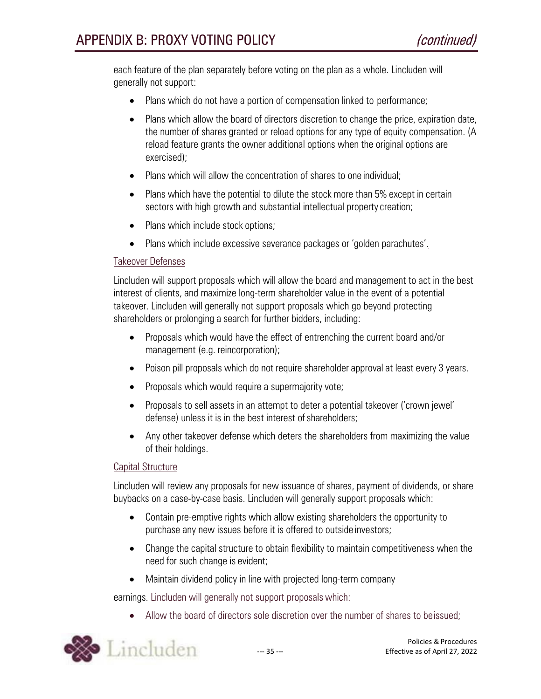each feature of the plan separately before voting on the plan as a whole. Lincluden will generally not support:

- Plans which do not have a portion of compensation linked to performance;
- Plans which allow the board of directors discretion to change the price, expiration date, the number of shares granted or reload options for any type of equity compensation. (A reload feature grants the owner additional options when the original options are exercised);
- Plans which will allow the concentration of shares to one individual:
- Plans which have the potential to dilute the stock more than 5% except in certain sectors with high growth and substantial intellectual property creation;
- Plans which include stock options;
- Plans which include excessive severance packages or 'golden parachutes'.

### Takeover Defenses

Lincluden will support proposals which will allow the board and management to act in the best interest of clients, and maximize long-term shareholder value in the event of a potential takeover. Lincluden will generally not support proposals which go beyond protecting shareholders or prolonging a search for further bidders, including:

- Proposals which would have the effect of entrenching the current board and/or management (e.g. reincorporation);
- Poison pill proposals which do not require shareholder approval at least every 3 years.
- Proposals which would require a supermajority vote;
- Proposals to sell assets in an attempt to deter a potential takeover ('crown jewel' defense) unless it is in the best interest of shareholders;
- Any other takeover defense which deters the shareholders from maximizing the value of their holdings.

#### Capital Structure

Lincluden will review any proposals for new issuance of shares, payment of dividends, or share buybacks on a case-by-case basis. Lincluden will generally support proposals which:

- Contain pre-emptive rights which allow existing shareholders the opportunity to purchase any new issues before it is offered to outside investors;
- Change the capital structure to obtain flexibility to maintain competitiveness when the need for such change is evident;
- Maintain dividend policy in line with projected long-term company

earnings. Lincluden will generally not support proposals which:

• Allow the board of directors sole discretion over the number of shares to beissued;